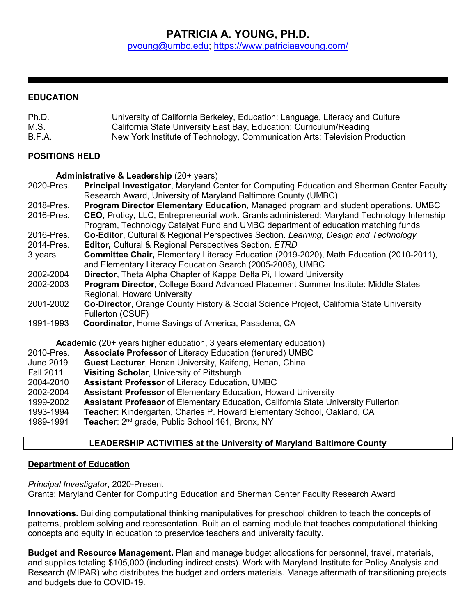# **PATRICIA A. YOUNG, PH.D.** [pyoung@umbc.edu;](mailto:pyoung@umbc.edu)<https://www.patriciaayoung.com/>

## **EDUCATION**

| Ph.D.  | University of California Berkeley, Education: Language, Literacy and Culture |
|--------|------------------------------------------------------------------------------|
| M.S.   | California State University East Bay, Education: Curriculum/Reading          |
| B.F.A. | New York Institute of Technology, Communication Arts: Television Production  |

## **POSITIONS HELD**

## **Administrative & Leadership** (20+ years)

| 2020-Pres.                                                                 | Principal Investigator, Maryland Center for Computing Education and Sherman Center Faculty                                                                                        |
|----------------------------------------------------------------------------|-----------------------------------------------------------------------------------------------------------------------------------------------------------------------------------|
|                                                                            | Research Award, University of Maryland Baltimore County (UMBC)                                                                                                                    |
| 2018-Pres.                                                                 | <b>Program Director Elementary Education, Managed program and student operations, UMBC</b>                                                                                        |
| 2016-Pres.                                                                 | CEO, Proticy, LLC, Entrepreneurial work. Grants administered: Maryland Technology Internship<br>Program, Technology Catalyst Fund and UMBC department of education matching funds |
| 2016-Pres.                                                                 | Co-Editor, Cultural & Regional Perspectives Section. Learning, Design and Technology                                                                                              |
| 2014-Pres.                                                                 | <b>Editor, Cultural &amp; Regional Perspectives Section. ETRD</b>                                                                                                                 |
| 3 years                                                                    | Committee Chair, Elementary Literacy Education (2019-2020), Math Education (2010-2011),<br>and Elementary Literacy Education Search (2005-2006), UMBC                             |
| 2002-2004                                                                  | Director, Theta Alpha Chapter of Kappa Delta Pi, Howard University                                                                                                                |
| 2002-2003                                                                  | <b>Program Director, College Board Advanced Placement Summer Institute: Middle States</b><br>Regional, Howard University                                                          |
| 2001-2002                                                                  | Co-Director, Orange County History & Social Science Project, California State University                                                                                          |
|                                                                            | Fullerton (CSUF)                                                                                                                                                                  |
| 1991-1993                                                                  | <b>Coordinator, Home Savings of America, Pasadena, CA</b>                                                                                                                         |
| <b>Academic</b> (20+ years higher education, 3 years elementary education) |                                                                                                                                                                                   |
| 2010-Pres.                                                                 | <b>Associate Professor of Literacy Education (tenured) UMBC</b>                                                                                                                   |
| June 2019                                                                  | <b>Guest Lecturer, Henan University, Kaifeng, Henan, China</b>                                                                                                                    |
| <b>Fall 2011</b>                                                           | <b>Visiting Scholar, University of Pittsburgh</b>                                                                                                                                 |
| 2004-2010                                                                  | <b>Assistant Professor of Literacy Education, UMBC</b>                                                                                                                            |
| 2002-2004                                                                  | <b>Assistant Professor</b> of Elementary Education, Howard University                                                                                                             |
| 1999-2002                                                                  | Assistant Professor of Elementary Education, California State University Fullerton                                                                                                |
| 1993-1994                                                                  | Teacher: Kindergarten, Charles P. Howard Elementary School, Oakland, CA                                                                                                           |
| 1989-1991                                                                  | Teacher: 2 <sup>nd</sup> grade, Public School 161, Bronx, NY                                                                                                                      |
|                                                                            |                                                                                                                                                                                   |

# **LEADERSHIP ACTIVITIES at the University of Maryland Baltimore County**

## **Department of Education**

*Principal Investigator*, 2020-Present Grants: Maryland Center for Computing Education and Sherman Center Faculty Research Award

**Innovations.** Building computational thinking manipulatives for preschool children to teach the concepts of patterns, problem solving and representation. Built an eLearning module that teaches computational thinking concepts and equity in education to preservice teachers and university faculty.

**Budget and Resource Management.** Plan and manage budget allocations for personnel, travel, materials, and supplies totaling \$105,000 (including indirect costs). Work with Maryland Institute for Policy Analysis and Research (MIPAR) who distributes the budget and orders materials. Manage aftermath of transitioning projects and budgets due to COVID-19.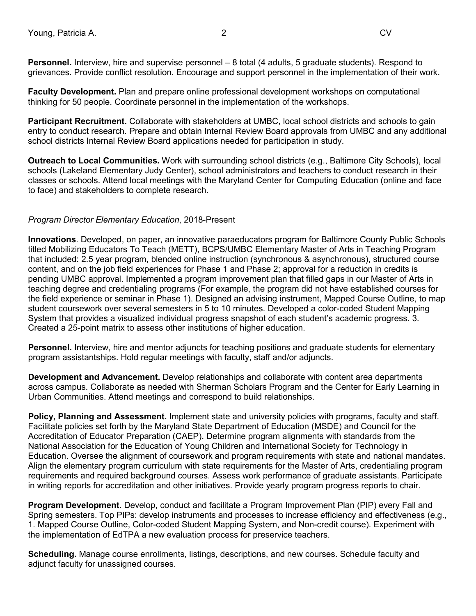**Personnel.** Interview, hire and supervise personnel – 8 total (4 adults, 5 graduate students). Respond to grievances. Provide conflict resolution. Encourage and support personnel in the implementation of their work.

**Faculty Development.** Plan and prepare online professional development workshops on computational thinking for 50 people. Coordinate personnel in the implementation of the workshops.

**Participant Recruitment.** Collaborate with stakeholders at UMBC, local school districts and schools to gain entry to conduct research. Prepare and obtain Internal Review Board approvals from UMBC and any additional school districts Internal Review Board applications needed for participation in study.

**Outreach to Local Communities.** Work with surrounding school districts (e.g., Baltimore City Schools), local schools (Lakeland Elementary Judy Center), school administrators and teachers to conduct research in their classes or schools. Attend local meetings with the Maryland Center for Computing Education (online and face to face) and stakeholders to complete research.

## *Program Director Elementary Education*, 2018-Present

**Innovations**. Developed, on paper, an innovative paraeducators program for Baltimore County Public Schools titled Mobilizing Educators To Teach (METT), BCPS/UMBC Elementary Master of Arts in Teaching Program that included: 2.5 year program, blended online instruction (synchronous & asynchronous), structured course content, and on the job field experiences for Phase 1 and Phase 2; approval for a reduction in credits is pending UMBC approval. Implemented a program improvement plan that filled gaps in our Master of Arts in teaching degree and credentialing programs (For example, the program did not have established courses for the field experience or seminar in Phase 1). Designed an advising instrument, Mapped Course Outline, to map student coursework over several semesters in 5 to 10 minutes. Developed a color-coded Student Mapping System that provides a visualized individual progress snapshot of each student's academic progress. 3. Created a 25-point matrix to assess other institutions of higher education.

**Personnel.** Interview, hire and mentor adjuncts for teaching positions and graduate students for elementary program assistantships. Hold regular meetings with faculty, staff and/or adjuncts.

**Development and Advancement.** Develop relationships and collaborate with content area departments across campus. Collaborate as needed with Sherman Scholars Program and the Center for Early Learning in Urban Communities. Attend meetings and correspond to build relationships.

**Policy, Planning and Assessment.** Implement state and university policies with programs, faculty and staff. Facilitate policies set forth by the Maryland State Department of Education (MSDE) and Council for the Accreditation of Educator Preparation (CAEP). Determine program alignments with standards from the National Association for the Education of Young Children and International Society for Technology in Education. Oversee the alignment of coursework and program requirements with state and national mandates. Align the elementary program curriculum with state requirements for the Master of Arts, credentialing program requirements and required background courses. Assess work performance of graduate assistants. Participate in writing reports for accreditation and other initiatives. Provide yearly program progress reports to chair.

**Program Development.** Develop, conduct and facilitate a Program Improvement Plan (PIP) every Fall and Spring semesters. Top PIPs: develop instruments and processes to increase efficiency and effectiveness (e.g., 1. Mapped Course Outline, Color-coded Student Mapping System, and Non-credit course). Experiment with the implementation of EdTPA a new evaluation process for preservice teachers.

**Scheduling.** Manage course enrollments, listings, descriptions, and new courses. Schedule faculty and adjunct faculty for unassigned courses.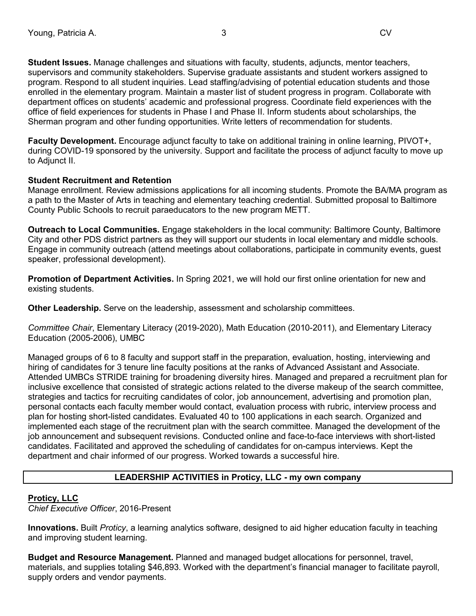**Student Issues.** Manage challenges and situations with faculty, students, adjuncts, mentor teachers, supervisors and community stakeholders. Supervise graduate assistants and student workers assigned to program. Respond to all student inquiries. Lead staffing/advising of potential education students and those enrolled in the elementary program. Maintain a master list of student progress in program. Collaborate with department offices on students' academic and professional progress. Coordinate field experiences with the office of field experiences for students in Phase I and Phase II. Inform students about scholarships, the Sherman program and other funding opportunities. Write letters of recommendation for students.

**Faculty Development.** Encourage adjunct faculty to take on additional training in online learning, PIVOT+, during COVID-19 sponsored by the university. Support and facilitate the process of adjunct faculty to move up to Adjunct II.

## **Student Recruitment and Retention**

Manage enrollment. Review admissions applications for all incoming students. Promote the BA/MA program as a path to the Master of Arts in teaching and elementary teaching credential. Submitted proposal to Baltimore County Public Schools to recruit paraeducators to the new program METT.

**Outreach to Local Communities.** Engage stakeholders in the local community: Baltimore County, Baltimore City and other PDS district partners as they will support our students in local elementary and middle schools. Engage in community outreach (attend meetings about collaborations, participate in community events, guest speaker, professional development).

**Promotion of Department Activities.** In Spring 2021, we will hold our first online orientation for new and existing students.

**Other Leadership.** Serve on the leadership, assessment and scholarship committees.

*Committee Chair*, Elementary Literacy (2019-2020), Math Education (2010-2011), and Elementary Literacy Education (2005-2006), UMBC

Managed groups of 6 to 8 faculty and support staff in the preparation, evaluation, hosting, interviewing and hiring of candidates for 3 tenure line faculty positions at the ranks of Advanced Assistant and Associate. Attended UMBCs STRIDE training for broadening diversity hires. Managed and prepared a recruitment plan for inclusive excellence that consisted of strategic actions related to the diverse makeup of the search committee, strategies and tactics for recruiting candidates of color, job announcement, advertising and promotion plan, personal contacts each faculty member would contact, evaluation process with rubric, interview process and plan for hosting short-listed candidates. Evaluated 40 to 100 applications in each search. Organized and implemented each stage of the recruitment plan with the search committee. Managed the development of the job announcement and subsequent revisions. Conducted online and face-to-face interviews with short-listed candidates. Facilitated and approved the scheduling of candidates for on-campus interviews. Kept the department and chair informed of our progress. Worked towards a successful hire.

# **LEADERSHIP ACTIVITIES in Proticy, LLC - my own company**

#### **Proticy, LLC**

*Chief Executive Officer*, 2016-Present

**Innovations.** Built *Proticy*, a learning analytics software, designed to aid higher education faculty in teaching and improving student learning.

**Budget and Resource Management.** Planned and managed budget allocations for personnel, travel, materials, and supplies totaling \$46,893. Worked with the department's financial manager to facilitate payroll, supply orders and vendor payments.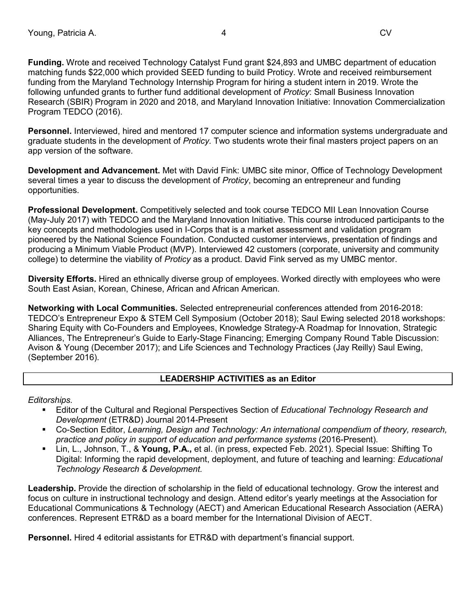**Funding.** Wrote and received Technology Catalyst Fund grant \$24,893 and UMBC department of education matching funds \$22,000 which provided SEED funding to build Proticy. Wrote and received reimbursement funding from the Maryland Technology Internship Program for hiring a student intern in 2019. Wrote the following unfunded grants to further fund additional development of *Proticy*: Small Business Innovation Research (SBIR) Program in 2020 and 2018, and Maryland Innovation Initiative: Innovation Commercialization Program TEDCO (2016).

**Personnel.** Interviewed, hired and mentored 17 computer science and information systems undergraduate and graduate students in the development of *Proticy.* Two students wrote their final masters project papers on an app version of the software.

**Development and Advancement.** Met with David Fink: UMBC site minor, Office of Technology Development several times a year to discuss the development of *Proticy*, becoming an entrepreneur and funding opportunities.

**Professional Development.** Competitively selected and took course TEDCO MII Lean Innovation Course (May-July 2017) with TEDCO and the Maryland Innovation Initiative. This course introduced participants to the key concepts and methodologies used in I-Corps that is a market assessment and validation program pioneered by the National Science Foundation. Conducted customer interviews, presentation of findings and producing a Minimum Viable Product (MVP). Interviewed 42 customers (corporate, university and community college) to determine the viability of *Proticy* as a product. David Fink served as my UMBC mentor.

**Diversity Efforts.** Hired an ethnically diverse group of employees. Worked directly with employees who were South East Asian, Korean, Chinese, African and African American.

**Networking with Local Communities.** Selected entrepreneurial conferences attended from 2016-2018: TEDCO's Entrepreneur Expo & STEM Cell Symposium (October 2018); Saul Ewing selected 2018 workshops: Sharing Equity with Co-Founders and Employees, Knowledge Strategy-A Roadmap for Innovation, Strategic Alliances, The Entrepreneur's Guide to Early-Stage Financing; Emerging Company Round Table Discussion: Avison & Young (December 2017); and Life Sciences and Technology Practices (Jay Reilly) Saul Ewing, (September 2016).

# **LEADERSHIP ACTIVITIES as an Editor**

*Editorships.*

- Editor of the Cultural and Regional Perspectives Section of *Educational Technology Research and Development* (ETR&D) Journal 2014-Present
- Co-Section Editor, *Learning, Design and Technology: An international compendium of theory, research, practice and policy in support of education and performance systems* (2016-Present).
- Lin, L., Johnson, T., & **Young, P.A.,** et al. (in press, expected Feb. 2021). Special Issue: Shifting To Digital: Informing the rapid development, deployment, and future of teaching and learning: *Educational Technology Research & Development.*

**Leadership.** Provide the direction of scholarship in the field of educational technology. Grow the interest and focus on culture in instructional technology and design. Attend editor's yearly meetings at the Association for Educational Communications & Technology (AECT) and American Educational Research Association (AERA) conferences. Represent ETR&D as a board member for the International Division of AECT.

**Personnel.** Hired 4 editorial assistants for ETR&D with department's financial support.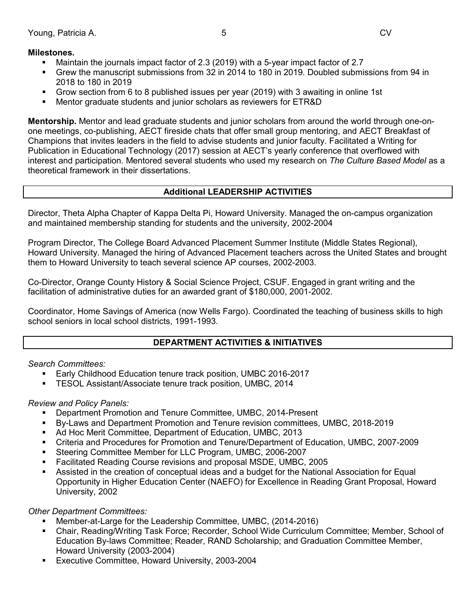## **Milestones.**

- Maintain the journals impact factor of 2.3 (2019) with a 5-year impact factor of 2.7
- Grew the manuscript submissions from 32 in 2014 to 180 in 2019. Doubled submissions from 94 in 2018 to 180 in 2019
- Grow section from 6 to 8 published issues per year (2019) with 3 awaiting in online 1st
- Mentor graduate students and junior scholars as reviewers for ETR&D

**Mentorship.** Mentor and lead graduate students and junior scholars from around the world through one-onone meetings, co-publishing, AECT fireside chats that offer small group mentoring, and AECT Breakfast of Champions that invites leaders in the field to advise students and junior faculty. Facilitated a Writing for Publication in Educational Technology (2017) session at AECT's yearly conference that overflowed with interest and participation. Mentored several students who used my research on *The Culture Based Model* as a theoretical framework in their dissertations.

## **Additional LEADERSHIP ACTIVITIES**

Director, Theta Alpha Chapter of Kappa Delta Pi, Howard University. Managed the on-campus organization and maintained membership standing for students and the university, 2002-2004

Program Director, The College Board Advanced Placement Summer Institute (Middle States Regional), Howard University. Managed the hiring of Advanced Placement teachers across the United States and brought them to Howard University to teach several science AP courses, 2002-2003.

Co-Director, Orange County History & Social Science Project, CSUF. Engaged in grant writing and the facilitation of administrative duties for an awarded grant of \$180,000, 2001-2002.

Coordinator, Home Savings of America (now Wells Fargo). Coordinated the teaching of business skills to high school seniors in local school districts, 1991-1993.

## **DEPARTMENT ACTIVITIES & INITIATIVES**

## *Search Committees:*

- Early Childhood Education tenure track position, UMBC 2016-2017
- TESOL Assistant/Associate tenure track position, UMBC, 2014

## *Review and Policy Panels:*

- Department Promotion and Tenure Committee, UMBC, 2014-Present
- By-Laws and Department Promotion and Tenure revision committees, UMBC, 2018-2019
- Ad Hoc Merit Committee, Department of Education, UMBC, 2013
- Criteria and Procedures for Promotion and Tenure/Department of Education, UMBC, 2007-2009
- Steering Committee Member for LLC Program, UMBC, 2006-2007
- Facilitated Reading Course revisions and proposal MSDE, UMBC, 2005
- Assisted in the creation of conceptual ideas and a budget for the National Association for Equal Opportunity in Higher Education Center (NAEFO) for Excellence in Reading Grant Proposal, Howard University, 2002

## *Other Department Committees:*

- Member-at-Large for the Leadership Committee, UMBC, (2014-2016)
- Chair, Reading/Writing Task Force; Recorder, School Wide Curriculum Committee; Member, School of Education By-laws Committee; Reader, RAND Scholarship; and Graduation Committee Member, Howard University (2003-2004)
- Executive Committee, Howard University, 2003-2004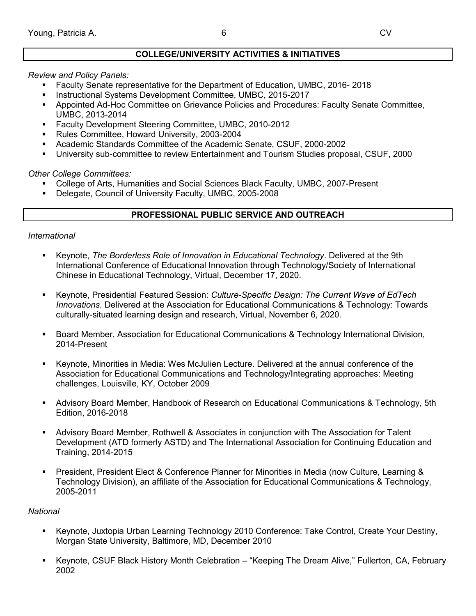## **COLLEGE/UNIVERSITY ACTIVITIES & INITIATIVES**

## *Review and Policy Panels:*

- Faculty Senate representative for the Department of Education, UMBC, 2016- 2018
- Instructional Systems Development Committee, UMBC, 2015-2017
- Appointed Ad-Hoc Committee on Grievance Policies and Procedures: Faculty Senate Committee, UMBC, 2013-2014
- **Faculty Development Steering Committee, UMBC, 2010-2012**
- Rules Committee, Howard University, 2003-2004
- Academic Standards Committee of the Academic Senate, CSUF, 2000-2002
- University sub-committee to review Entertainment and Tourism Studies proposal, CSUF, 2000

*Other College Committees:*

- College of Arts, Humanities and Social Sciences Black Faculty, UMBC, 2007-Present
- Delegate, Council of University Faculty, UMBC, 2005-2008

## **PROFESSIONAL PUBLIC SERVICE AND OUTREACH**

## *International*

- Keynote, *The Borderless Role of Innovation in Educational Technology*. Delivered at the 9th International Conference of Educational Innovation through Technology/Society of International Chinese in Educational Technology, Virtual, December 17, 2020.
- Keynote, Presidential Featured Session: *Culture-Specific Design: The Current Wave of EdTech Innovations*. Delivered at the Association for Educational Communications & Technology: Towards culturally-situated learning design and research, Virtual, November 6, 2020.
- **Board Member, Association for Educational Communications & Technology International Division,** 2014-Present
- Keynote, Minorities in Media: Wes McJulien Lecture. Delivered at the annual conference of the Association for Educational Communications and Technology/Integrating approaches: Meeting challenges, Louisville, KY, October 2009
- Advisory Board Member, Handbook of Research on Educational Communications & Technology, 5th Edition, 2016-2018
- Advisory Board Member, Rothwell & Associates in conjunction with The Association for Talent Development (ATD formerly ASTD) and The International Association for Continuing Education and Training, 2014-2015
- President, President Elect & Conference Planner for Minorities in Media (now Culture, Learning & Technology Division), an affiliate of the Association for Educational Communications & Technology, 2005-2011

## *National*

- Keynote, Juxtopia Urban Learning Technology 2010 Conference: Take Control, Create Your Destiny, Morgan State University, Baltimore, MD, December 2010
- Keynote, CSUF Black History Month Celebration "Keeping The Dream Alive," Fullerton, CA, February 2002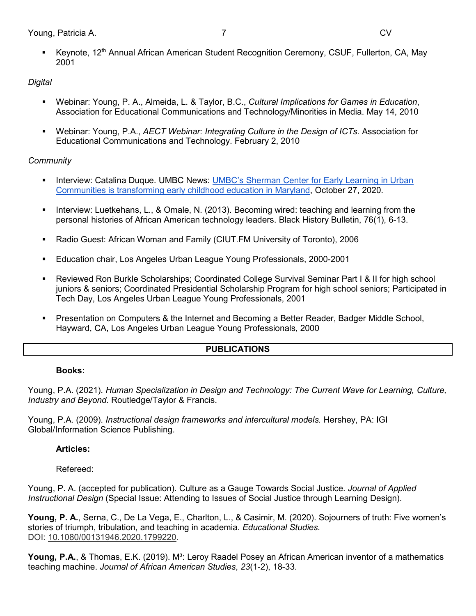Keynote, 12<sup>th</sup> Annual African American Student Recognition Ceremony, CSUF, Fullerton, CA, May 2001

# *Digital*

- Webinar: Young, P. A., Almeida, L. & Taylor, B.C., *Cultural Implications for Games in Education*, Association for Educational Communications and Technology/Minorities in Media. May 14, 2010
- Webinar: Young, P.A., *AECT Webinar: Integrating Culture in the Design of ICTs*. Association for Educational Communications and Technology. February 2, 2010

# *Community*

- **Interview: Catalina Duque. UMBC News: UMBC's Sherman Center for Early Learning in Urban** [Communities is transforming early childhood education in Maryland,](https://news.umbc.edu/umbcs-sherman-center-for-early-learning-in-urban-communities-is-transforming-early-childhood-education-in-maryland/) October 27, 2020.
- Interview: Luetkehans, L., & Omale, N. (2013). Becoming wired: teaching and learning from the personal histories of African American technology leaders. Black History Bulletin, 76(1), 6-13.
- Radio Guest: African Woman and Family (CIUT.FM University of Toronto), 2006
- Education chair, Los Angeles Urban League Young Professionals, 2000-2001
- Reviewed Ron Burkle Scholarships; Coordinated College Survival Seminar Part I & II for high school juniors & seniors; Coordinated Presidential Scholarship Program for high school seniors; Participated in Tech Day, Los Angeles Urban League Young Professionals, 2001
- Presentation on Computers & the Internet and Becoming a Better Reader, Badger Middle School, Hayward, CA, Los Angeles Urban League Young Professionals, 2000

# **PUBLICATIONS**

## **Books:**

Young, P.A. (2021). *Human Specialization in Design and Technology: The Current Wave for Learning, Culture, Industry and Beyond.* Routledge/Taylor & Francis.

Young, P.A. (2009). *Instructional design frameworks and intercultural models.* Hershey, PA: IGI Global/Information Science Publishing.

# **Articles:**

Refereed:

Young, P. A. (accepted for publication). Culture as a Gauge Towards Social Justice*. Journal of Applied Instructional Design* (Special Issue: Attending to Issues of Social Justice through Learning Design).

**Young, P. A.**, Serna, C., De La Vega, E., Charlton, L., & Casimir, M. (2020). Sojourners of truth: Five women's stories of triumph, tribulation, and teaching in academia. *Educational Studies.*  DOI: [10.1080/00131946.2020.1799220.](https://doi.org/10.1080/00131946.2020.1799220)

**Young, P.A.**, & Thomas, E.K. (2019). M<sup>3</sup>: Leroy Raadel Posey an African American inventor of a mathematics teaching machine. *Journal of African American Studies*, *23*(1-2), 18-33.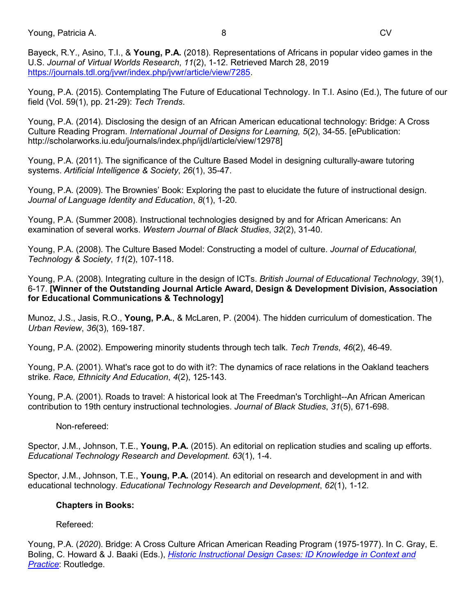Young, Patricia A. 8 CV

Bayeck, R.Y., Asino, T.I., & **Young, P.A.** (2018). Representations of Africans in popular video games in the U.S. *Journal of Virtual Worlds Research*, *11*(2), 1-12. Retrieved March 28, 2019 [https://journals.tdl.org/jvwr/index.php/jvwr/article/view/7285.](https://journals.tdl.org/jvwr/index.php/jvwr/article/view/7285)

Young, P.A. (2015). Contemplating The Future of Educational Technology. In T.I. Asino (Ed.), The future of our field (Vol. 59(1), pp. 21-29): *Tech Trends*.

Young, P.A. (2014). Disclosing the design of an African American educational technology: Bridge: A Cross Culture Reading Program. *International Journal of Designs for Learning, 5*(2), 34-55. [ePublication: http://scholarworks.iu.edu/journals/index.php/ijdl/article/view/12978]

Young, P.A. (2011). The significance of the Culture Based Model in designing culturally-aware tutoring systems. *Artificial Intelligence & Society*, *26*(1), 35-47.

Young, P.A. (2009). The Brownies' Book: Exploring the past to elucidate the future of instructional design. *Journal of Language Identity and Education*, *8*(1), 1-20.

Young, P.A. (Summer 2008). Instructional technologies designed by and for African Americans: An examination of several works. *Western Journal of Black Studies*, *32*(2), 31-40.

Young, P.A. (2008). The Culture Based Model: Constructing a model of culture. *Journal of Educational, Technology & Society*, *11*(2), 107-118.

Young, P.A. (2008). Integrating culture in the design of ICTs. *British Journal of Educational Technology*, 39(1), 6-17. **[Winner of the Outstanding Journal Article Award, Design & Development Division, Association for Educational Communications & Technology]**

Munoz, J.S., Jasis, R.O., **Young, P.A.**, & McLaren, P. (2004). The hidden curriculum of domestication. The *Urban Review*, *36*(3), 169-187.

Young, P.A. (2002). Empowering minority students through tech talk. *Tech Trends*, *46*(2), 46-49.

Young, P.A. (2001). What's race got to do with it?: The dynamics of race relations in the Oakland teachers strike. *Race, Ethnicity And Education*, *4*(2), 125-143.

Young, P.A. (2001). Roads to travel: A historical look at The Freedman's Torchlight--An African American contribution to 19th century instructional technologies. *Journal of Black Studies*, *31*(5), 671-698.

Non-refereed:

Spector, J.M., Johnson, T.E., **Young, P.A.** (2015). An editorial on replication studies and scaling up efforts. *Educational Technology Research and Development. 63*(1), 1-4.

Spector, J.M., Johnson, T.E., **Young, P.A.** (2014). An editorial on research and development in and with educational technology. *Educational Technology Research and Development*, *62*(1), 1-12.

# **Chapters in Books:**

Refereed:

Young, P.A. (*2020*). Bridge: A Cross Culture African American Reading Program (1975-1977). In C. Gray, E. Boling, C. Howard & J. Baaki (Eds.), *[Historic Instructional Design Cases: ID Knowledge in Context and](https://www.routledge.com/Historical-Instructional-Design-Cases-ID-Knowledge-in-Context-and-Practice/Boling-Gray-Howard-Baaki/p/book/9780367353704)  [Practice](https://www.routledge.com/Historical-Instructional-Design-Cases-ID-Knowledge-in-Context-and-Practice/Boling-Gray-Howard-Baaki/p/book/9780367353704)*: Routledge.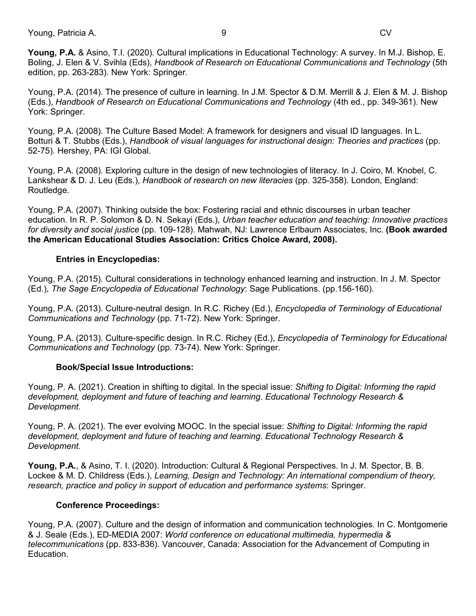Young, Patricia A. 9 CV

**Young, P.A.** & Asino, T.I. (2020). Cultural implications in Educational Technology: A survey. In M.J. Bishop, E. Boling, J. Elen & V. Svihla (Eds), *Handbook of Research on Educational Communications and Technology* (5th edition, pp. 263-283). New York: Springer.

Young, P.A. (2014). The presence of culture in learning. In J.M. Spector & D.M. Merrill & J. Elen & M. J. Bishop (Eds.), *Handbook of Research on Educational Communications and Technology* (4th ed., pp. 349-361). New York: Springer.

Young, P.A. (2008). The Culture Based Model: A framework for designers and visual ID languages. In L. Botturi & T. Stubbs (Eds.), *Handbook of visual languages for instructional design: Theories and practices* (pp. 52-75). Hershey, PA: IGI Global.

Young, P.A. (2008). Exploring culture in the design of new technologies of literacy. In J. Coiro, M. Knobel, C. Lankshear & D. J. Leu (Eds.), *Handbook of research on new literacies* (pp. 325-358). London, England: Routledge.

Young, P.A. (2007). Thinking outside the box: Fostering racial and ethnic discourses in urban teacher education. In R. P. Solomon & D. N. Sekayi (Eds.), *Urban teacher education and teaching: Innovative practices for diversity and social justice* (pp. 109-128). Mahwah, NJ: Lawrence Erlbaum Associates, Inc. **(Book awarded the American Educational Studies Association: Critics Choice Award, 2008).**

## **Entries in Encyclopedias:**

Young, P.A. (2015). Cultural considerations in technology enhanced learning and instruction. In J. M. Spector (Ed.), *The Sage Encyclopedia of Educational Technology*: Sage Publications. (pp.156-160).

Young, P.A. (2013). Culture-neutral design. In R.C. Richey (Ed.), *Encyclopedia of Terminology of Educational Communications and Technology* (pp. 71-72). New York: Springer.

Young, P.A. (2013). Culture-specific design. In R.C. Richey (Ed.), *Encyclopedia of Terminology for Educational Communications and Technology* (pp. 73-74). New York: Springer.

# **Book/Special Issue Introductions:**

Young, P. A. (2021). Creation in shifting to digital. In the special issue: *Shifting to Digital: Informing the rapid development, deployment and future of teaching and learning*. *Educational Technology Research & Development*.

Young, P. A. (2021). The ever evolving MOOC. In the special issue: *Shifting to Digital: Informing the rapid development, deployment and future of teaching and learning*. *Educational Technology Research & Development*.

**Young, P.A.**, & Asino, T. I. (2020). Introduction: Cultural & Regional Perspectives. In J. M. Spector, B. B. Lockee & M. D. Childress (Eds.), *Learning, Design and Technology: An international compendium of theory, research, practice and policy in support of education and performance systems*: Springer.

## **Conference Proceedings:**

Young, P.A. (2007). Culture and the design of information and communication technologies. In C. Montgomerie & J. Seale (Eds.), ED-MEDIA 2007: *World conference on educational multimedia, hypermedia & telecommunications* (pp. 833-836). Vancouver, Canada: Association for the Advancement of Computing in Education.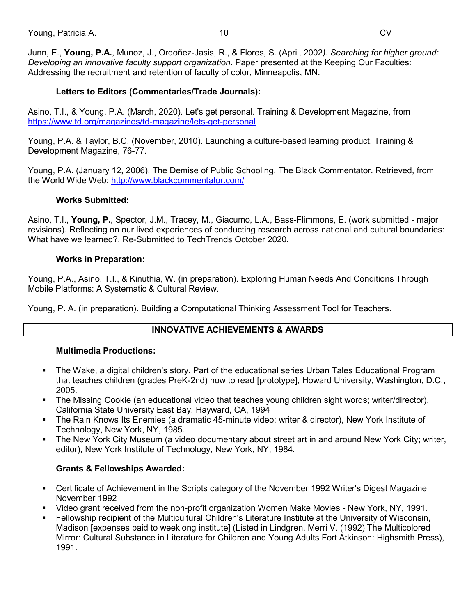Junn, E., **Young, P.A.**, Munoz, J., Ordoñez-Jasis, R., & Flores, S. (April, 2002*). Searching for higher ground: Developing an innovative faculty support organization.* Paper presented at the Keeping Our Faculties: Addressing the recruitment and retention of faculty of color, Minneapolis, MN.

## **Letters to Editors (Commentaries/Trade Journals):**

Asino, T.I., & Young, P.A. (March, 2020). Let's get personal. Training & Development Magazine, from <https://www.td.org/magazines/td-magazine/lets-get-personal>

Young, P.A. & Taylor, B.C. (November, 2010). Launching a culture-based learning product. Training & Development Magazine, 76-77.

Young, P.A. (January 12, 2006). The Demise of Public Schooling. The Black Commentator. Retrieved, from the World Wide Web:<http://www.blackcommentator.com/>

## **Works Submitted:**

Asino, T.I., **Young, P.**, Spector, J.M., Tracey, M., Giacumo, L.A., Bass-Flimmons, E. (work submitted - major revisions). Reflecting on our lived experiences of conducting research across national and cultural boundaries: What have we learned?. Re-Submitted to TechTrends October 2020.

## **Works in Preparation:**

Young, P.A., Asino, T.I., & Kinuthia, W. (in preparation). Exploring Human Needs And Conditions Through Mobile Platforms: A Systematic & Cultural Review.

Young, P. A. (in preparation). Building a Computational Thinking Assessment Tool for Teachers.

# **INNOVATIVE ACHIEVEMENTS & AWARDS**

## **Multimedia Productions:**

- The Wake, a digital children's story. Part of the educational series Urban Tales Educational Program that teaches children (grades PreK-2nd) how to read [prototype], Howard University, Washington, D.C., 2005.
- The Missing Cookie (an educational video that teaches young children sight words; writer/director), California State University East Bay, Hayward, CA, 1994
- The Rain Knows Its Enemies (a dramatic 45-minute video; writer & director), New York Institute of Technology, New York, NY, 1985.
- The New York City Museum (a video documentary about street art in and around New York City; writer, editor), New York Institute of Technology, New York, NY, 1984.

# **Grants & Fellowships Awarded:**

- Certificate of Achievement in the Scripts category of the November 1992 Writer's Digest Magazine November 1992
- Video grant received from the non-profit organization Women Make Movies New York, NY, 1991.
- Fellowship recipient of the Multicultural Children's Literature Institute at the University of Wisconsin, Madison [expenses paid to weeklong institute] (Listed in Lindgren, Merri V. (1992) The Multicolored Mirror: Cultural Substance in Literature for Children and Young Adults Fort Atkinson: Highsmith Press), 1991.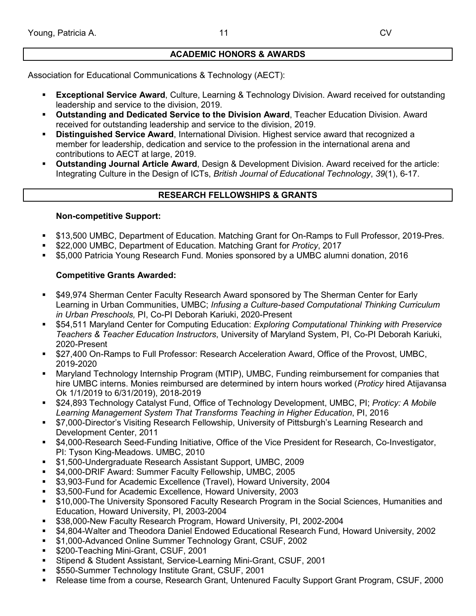# **ACADEMIC HONORS & AWARDS**

Association for Educational Communications & Technology (AECT):

- **Exceptional Service Award**, Culture, Learning & Technology Division. Award received for outstanding leadership and service to the division, 2019.
- **Outstanding and Dedicated Service to the Division Award**, Teacher Education Division. Award received for outstanding leadership and service to the division, 2019.
- **Distinguished Service Award**, International Division. Highest service award that recognized a member for leadership, dedication and service to the profession in the international arena and contributions to AECT at large, 2019.
- **Outstanding Journal Article Award**, Design & Development Division. Award received for the article: Integrating Culture in the Design of ICTs, *British Journal of Educational Technology*, *39*(1), 6-17.

# **RESEARCH FELLOWSHIPS & GRANTS**

## **Non-competitive Support:**

- \$13,500 UMBC, Department of Education. Matching Grant for On-Ramps to Full Professor, 2019-Pres.
- \$22,000 UMBC, Department of Education. Matching Grant for *Proticy*, 2017
- \$5,000 Patricia Young Research Fund. Monies sponsored by a UMBC alumni donation, 2016

# **Competitive Grants Awarded:**

- \$49,974 Sherman Center Faculty Research Award sponsored by The Sherman Center for Early Learning in Urban Communities, UMBC; *Infusing a Culture-based Computational Thinking Curriculum in Urban Preschools,* PI, Co-PI Deborah Kariuki, 2020-Present
- \$54,511 Maryland Center for Computing Education: *Exploring Computational Thinking with Preservice Teachers & Teacher Education Instructors*, University of Maryland System, PI, Co-PI Deborah Kariuki, 2020-Present
- \$27,400 On-Ramps to Full Professor: Research Acceleration Award, Office of the Provost, UMBC, 2019-2020
- Maryland Technology Internship Program (MTIP), UMBC, Funding reimbursement for companies that hire UMBC interns. Monies reimbursed are determined by intern hours worked (*Proticy* hired Atijavansa Ok 1/1/2019 to 6/31/2019), 2018-2019
- \$24,893 Technology Catalyst Fund, Office of Technology Development, UMBC, PI; *Proticy: A Mobile Learning Management System That Transforms Teaching in Higher Education*, PI, 2016
- \$7,000-Director's Visiting Research Fellowship, University of Pittsburgh's Learning Research and Development Center, 2011
- \$4,000-Research Seed-Funding Initiative, Office of the Vice President for Research, Co-Investigator, PI: Tyson King-Meadows. UMBC, 2010
- \$1,500-Undergraduate Research Assistant Support, UMBC, 2009
- \$4,000-DRIF Award: Summer Faculty Fellowship, UMBC, 2005
- **53,903-Fund for Academic Excellence (Travel), Howard University, 2004**
- \$3,500-Fund for Academic Excellence, Howard University, 2003
- \$10,000-The University Sponsored Faculty Research Program in the Social Sciences, Humanities and Education, Howard University, PI, 2003-2004
- \$38,000-New Faculty Research Program, Howard University, PI, 2002-2004
- \$4,804-Walter and Theodora Daniel Endowed Educational Research Fund, Howard University, 2002
- \$1,000-Advanced Online Summer Technology Grant, CSUF, 2002
- \$200-Teaching Mini-Grant, CSUF, 2001
- Stipend & Student Assistant, Service-Learning Mini-Grant, CSUF, 2001
- \$550-Summer Technology Institute Grant, CSUF, 2001
- Release time from a course, Research Grant, Untenured Faculty Support Grant Program, CSUF, 2000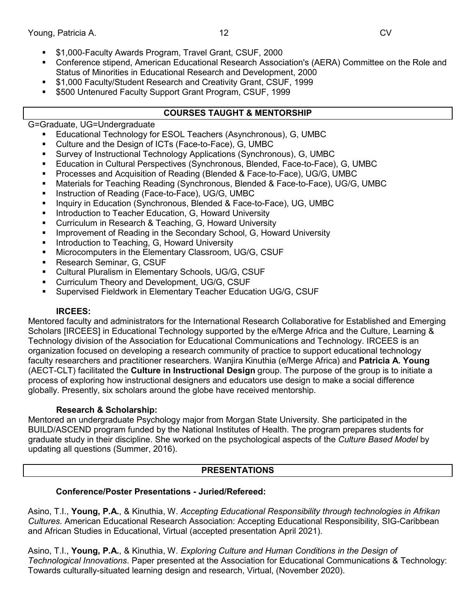- \$1,000-Faculty Awards Program, Travel Grant, CSUF, 2000
- Conference stipend, American Educational Research Association's (AERA) Committee on the Role and Status of Minorities in Educational Research and Development, 2000
- \$1,000 Faculty/Student Research and Creativity Grant, CSUF, 1999
- **5500 Untenured Faculty Support Grant Program, CSUF, 1999**

# **COURSES TAUGHT & MENTORSHIP**

G=Graduate, UG=Undergraduate

- Educational Technology for ESOL Teachers (Asynchronous), G, UMBC
- Culture and the Design of ICTs (Face-to-Face), G, UMBC
- Survey of Instructional Technology Applications (Synchronous), G, UMBC
- Education in Cultural Perspectives (Synchronous, Blended, Face-to-Face), G, UMBC
- Processes and Acquisition of Reading (Blended & Face-to-Face), UG/G, UMBC
- Materials for Teaching Reading (Synchronous, Blended & Face-to-Face), UG/G, UMBC
- Instruction of Reading (Face-to-Face), UG/G, UMBC
- Inquiry in Education (Synchronous, Blended & Face-to-Face), UG, UMBC
- Introduction to Teacher Education, G, Howard University
- **EXECUTE:** Curriculum in Research & Teaching, G, Howard University
- **IMPROVEMENT OF READING IN the Secondary School, G, Howard University**
- Introduction to Teaching, G, Howard University
- **Microcomputers in the Elementary Classroom, UG/G, CSUF**
- **Research Seminar, G, CSUF**
- Cultural Pluralism in Elementary Schools, UG/G, CSUF
- Curriculum Theory and Development, UG/G, CSUF
- Supervised Fieldwork in Elementary Teacher Education UG/G, CSUF

## **IRCEES:**

Mentored faculty and administrators for the International Research Collaborative for Established and Emerging Scholars [IRCEES] in Educational Technology supported by the e/Merge Africa and the Culture, Learning & Technology division of the Association for Educational Communications and Technology. IRCEES is an organization focused on developing a research community of practice to support educational technology faculty researchers and practitioner researchers. Wanjira Kinuthia (e/Merge Africa) and **Patricia A. Young** (AECT-CLT) facilitated the **Culture in Instructional Design** group. The purpose of the group is to initiate a process of exploring how instructional designers and educators use design to make a social difference globally. Presently, six scholars around the globe have received mentorship.

## **Research & Scholarship:**

Mentored an undergraduate Psychology major from Morgan State University. She participated in the BUILD/ASCEND program funded by the National Institutes of Health. The program prepares students for graduate study in their discipline. She worked on the psychological aspects of the *Culture Based Model* by updating all questions (Summer, 2016).

# **PRESENTATIONS**

# **Conference/Poster Presentations - Juried/Refereed:**

Asino, T.I., **Young, P.A.**, & Kinuthia, W. *Accepting Educational Responsibility through technologies in Afrikan Cultures.* American Educational Research Association: Accepting Educational Responsibility, SIG-Caribbean and African Studies in Educational, Virtual (accepted presentation April 2021).

Asino, T.I., **Young, P.A.**, & Kinuthia, W. *Exploring Culture and Human Conditions in the Design of Technological Innovations*. Paper presented at the Association for Educational Communications & Technology: Towards culturally-situated learning design and research, Virtual, (November 2020).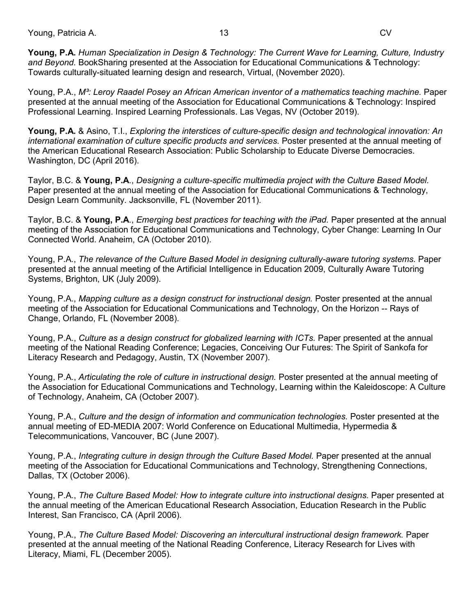Young, Patricia A. 13 CV

**Young, P.A.** *Human Specialization in Design & Technology: The Current Wave for Learning, Culture, Industry and Beyond.* BookSharing presented at the Association for Educational Communications & Technology: Towards culturally-situated learning design and research, Virtual, (November 2020).

Young, P.A., *M³: Leroy Raadel Posey an African American inventor of a mathematics teaching machine.* Paper presented at the annual meeting of the Association for Educational Communications & Technology: Inspired Professional Learning. Inspired Learning Professionals. Las Vegas, NV (October 2019).

**Young, P.A.** & Asino, T.I., *Exploring the interstices of culture-specific design and technological innovation: An international examination of culture specific products and services.* Poster presented at the annual meeting of the American Educational Research Association: Public Scholarship to Educate Diverse Democracies. Washington, DC (April 2016).

Taylor, B.C. & **Young, P.A**., *Designing a culture-specific multimedia project with the Culture Based Model.*  Paper presented at the annual meeting of the Association for Educational Communications & Technology, Design Learn Community. Jacksonville, FL (November 2011).

Taylor, B.C. & **Young, P.A**., *Emerging best practices for teaching with the iPad.* Paper presented at the annual meeting of the Association for Educational Communications and Technology, Cyber Change: Learning In Our Connected World. Anaheim, CA (October 2010).

Young, P.A., *The relevance of the Culture Based Model in designing culturally-aware tutoring systems.* Paper presented at the annual meeting of the Artificial Intelligence in Education 2009, Culturally Aware Tutoring Systems, Brighton, UK (July 2009).

Young, P.A., *Mapping culture as a design construct for instructional design.* Poster presented at the annual meeting of the Association for Educational Communications and Technology, On the Horizon -- Rays of Change, Orlando, FL (November 2008).

Young, P.A., *Culture as a design construct for globalized learning with ICTs.* Paper presented at the annual meeting of the National Reading Conference; Legacies, Conceiving Our Futures: The Spirit of Sankofa for Literacy Research and Pedagogy, Austin, TX (November 2007).

Young, P.A., *Articulating the role of culture in instructional design.* Poster presented at the annual meeting of the Association for Educational Communications and Technology, Learning within the Kaleidoscope: A Culture of Technology, Anaheim, CA (October 2007).

Young, P.A., *Culture and the design of information and communication technologies.* Poster presented at the annual meeting of ED-MEDIA 2007: World Conference on Educational Multimedia, Hypermedia & Telecommunications, Vancouver, BC (June 2007).

Young, P.A., *Integrating culture in design through the Culture Based Model.* Paper presented at the annual meeting of the Association for Educational Communications and Technology, Strengthening Connections, Dallas, TX (October 2006).

Young, P.A., *The Culture Based Model: How to integrate culture into instructional designs.* Paper presented at the annual meeting of the American Educational Research Association, Education Research in the Public Interest, San Francisco, CA (April 2006).

Young, P.A., *The Culture Based Model: Discovering an intercultural instructional design framework.* Paper presented at the annual meeting of the National Reading Conference, Literacy Research for Lives with Literacy, Miami, FL (December 2005).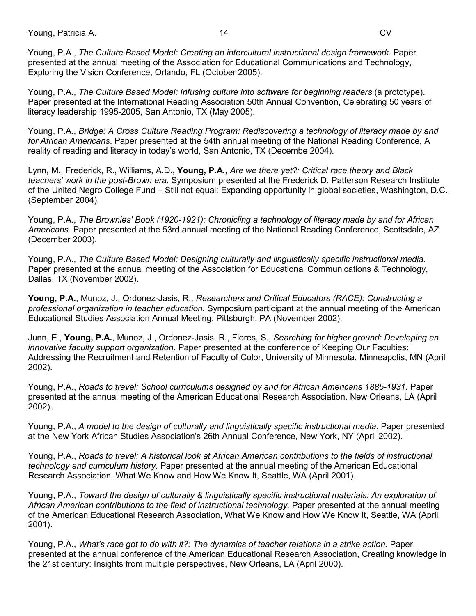Young, Patricia A. 14 CV

Young, P.A., *The Culture Based Model: Creating an intercultural instructional design framework.* Paper presented at the annual meeting of the Association for Educational Communications and Technology, Exploring the Vision Conference, Orlando, FL (October 2005).

Young, P.A., *The Culture Based Model: Infusing culture into software for beginning readers (a prototype).* Paper presented at the International Reading Association 50th Annual Convention, Celebrating 50 years of literacy leadership 1995-2005, San Antonio, TX (May 2005).

Young, P.A., *Bridge: A Cross Culture Reading Program: Rediscovering a technology of literacy made by and for African Americans*. Paper presented at the 54th annual meeting of the National Reading Conference, A reality of reading and literacy in today's world, San Antonio, TX (Decembe 2004).

Lynn, M., Frederick, R., Williams, A.D., **Young, P.A.**, *Are we there yet?: Critical race theory and Black teachers' work in the post-Brown era.* Symposium presented at the Frederick D. Patterson Research Institute of the United Negro College Fund – Still not equal: Expanding opportunity in global societies, Washington, D.C. (September 2004).

Young, P.A., *The Brownies' Book (1920-1921): Chronicling a technology of literacy made by and for African Americans*. Paper presented at the 53rd annual meeting of the National Reading Conference, Scottsdale, AZ (December 2003).

Young, P.A., *The Culture Based Model: Designing culturally and linguistically specific instructional media.*  Paper presented at the annual meeting of the Association for Educational Communications & Technology, Dallas, TX (November 2002).

**Young, P.A.**, Munoz, J., Ordonez-Jasis, R., *Researchers and Critical Educators (RACE): Constructing a professional organization in teacher education.* Symposium participant at the annual meeting of the American Educational Studies Association Annual Meeting, Pittsburgh, PA (November 2002).

Junn, E., **Young, P.A.**, Munoz, J., Ordonez-Jasis, R., Flores, S., *Searching for higher ground: Developing an innovative faculty support organization*. Paper presented at the conference of Keeping Our Faculties: Addressing the Recruitment and Retention of Faculty of Color, University of Minnesota, Minneapolis, MN (April 2002).

Young, P.A., *Roads to travel: School curriculums designed by and for African Americans 1885-1931*. Paper presented at the annual meeting of the American Educational Research Association, New Orleans, LA (April 2002).

Young, P.A., *A model to the design of culturally and linguistically specific instructional media*. Paper presented at the New York African Studies Association's 26th Annual Conference, New York, NY (April 2002).

Young, P.A., *Roads to travel: A historical look at African American contributions to the fields of instructional technology and curriculum history.* Paper presented at the annual meeting of the American Educational Research Association, What We Know and How We Know It, Seattle, WA (April 2001).

Young, P.A., *Toward the design of culturally & linguistically specific instructional materials: An exploration of African American contributions to the field of instructional technology.* Paper presented at the annual meeting of the American Educational Research Association, What We Know and How We Know It, Seattle, WA (April 2001).

Young, P.A., *What's race got to do with it?: The dynamics of teacher relations in a strike action.* Paper presented at the annual conference of the American Educational Research Association, Creating knowledge in the 21st century: Insights from multiple perspectives, New Orleans, LA (April 2000).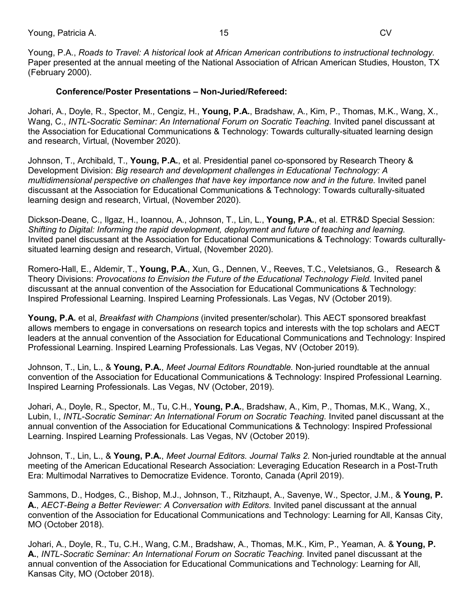Young, P.A., *Roads to Travel: A historical look at African American contributions to instructional technology.* Paper presented at the annual meeting of the National Association of African American Studies, Houston, TX (February 2000).

## **Conference/Poster Presentations – Non-Juried/Refereed:**

Johari, A., Doyle, R., Spector, M., Cengiz, H., **Young, P.A.**, Bradshaw, A., Kim, P., Thomas, M.K., Wang, X., Wang, C., *INTL-Socratic Seminar: An International Forum on Socratic Teaching.* Invited panel discussant at the Association for Educational Communications & Technology: Towards culturally-situated learning design and research, Virtual, (November 2020).

Johnson, T., Archibald, T., **Young, P.A.**, et al. Presidential panel co-sponsored by Research Theory & Development Division: *Big research and development challenges in Educational Technology: A multidimensional perspective on challenges that have key importance now and in the future.* Invited panel discussant at the Association for Educational Communications & Technology: Towards culturally-situated learning design and research, Virtual, (November 2020).

Dickson-Deane, C., Ilgaz, H., Ioannou, A., Johnson, T., Lin, L., **Young, P.A.**, et al. ETR&D Special Session: *Shifting to Digital: Informing the rapid development, deployment and future of teaching and learning.*  Invited panel discussant at the Association for Educational Communications & Technology: Towards culturallysituated learning design and research, Virtual, (November 2020).

Romero-Hall, E., Aldemir, T., **Young, P.A.**, Xun, G., Dennen, V., Reeves, T.C., Veletsianos, G., Research & Theory Divisions: *Provocations to Envision the Future of the Educational Technology Field.* Invited panel discussant at the annual convention of the Association for Educational Communications & Technology: Inspired Professional Learning. Inspired Learning Professionals. Las Vegas, NV (October 2019).

**Young, P.A.** et al, *Breakfast with Champions* (invited presenter/scholar). This AECT sponsored breakfast allows members to engage in conversations on research topics and interests with the top scholars and AECT leaders at the annual convention of the Association for Educational Communications and Technology: Inspired Professional Learning. Inspired Learning Professionals. Las Vegas, NV (October 2019).

Johnson, T., Lin, L., & **Young, P.A.**, *Meet Journal Editors Roundtable.* Non-juried roundtable at the annual convention of the Association for Educational Communications & Technology: Inspired Professional Learning. Inspired Learning Professionals. Las Vegas, NV (October, 2019).

Johari, A., Doyle, R., Spector, M., Tu, C.H., **Young, P.A.**, Bradshaw, A., Kim, P., Thomas, M.K., Wang, X., Lubin, I., *INTL-Socratic Seminar: An International Forum on Socratic Teaching.* Invited panel discussant at the annual convention of the Association for Educational Communications & Technology: Inspired Professional Learning. Inspired Learning Professionals. Las Vegas, NV (October 2019).

Johnson, T., Lin, L., & **Young, P.A.**, *Meet Journal Editors. Journal Talks 2*. Non-juried roundtable at the annual meeting of the American Educational Research Association: Leveraging Education Research in a Post-Truth Era: Multimodal Narratives to Democratize Evidence. Toronto, Canada (April 2019).

Sammons, D., Hodges, C., Bishop, M.J., Johnson, T., Ritzhaupt, A., Savenye, W., Spector, J.M., & **Young, P. A.**, *AECT-Being a Better Reviewer: A Conversation with Editors.* Invited panel discussant at the annual convention of the Association for Educational Communications and Technology: Learning for All, Kansas City, MO (October 2018).

Johari, A., Doyle, R., Tu, C.H., Wang, C.M., Bradshaw, A., Thomas, M.K., Kim, P., Yeaman, A. & **Young, P. A.**, *INTL-Socratic Seminar: An International Forum on Socratic Teaching.* Invited panel discussant at the annual convention of the Association for Educational Communications and Technology: Learning for All, Kansas City, MO (October 2018).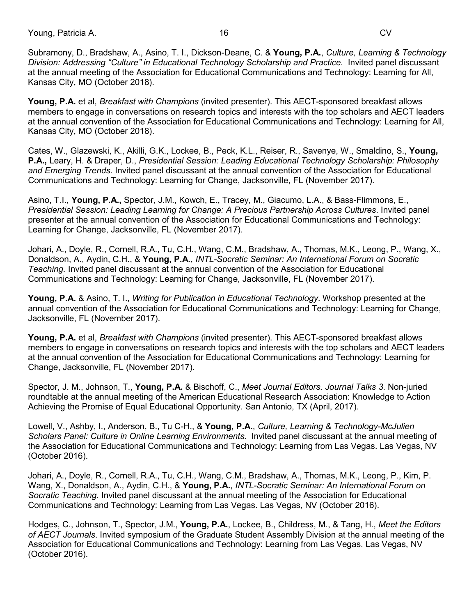Young, Patricia A. 16 CV

Subramony, D., Bradshaw, A., Asino, T. I., Dickson-Deane, C. & **Young, P.A.**, *Culture, Learning & Technology* Division: Addressing "Culture" in Educational Technology Scholarship and Practice. Invited panel discussant at the annual meeting of the Association for Educational Communications and Technology: Learning for All, Kansas City, MO (October 2018).

**Young, P.A.** et al, *Breakfast with Champions* (invited presenter). This AECT-sponsored breakfast allows members to engage in conversations on research topics and interests with the top scholars and AECT leaders at the annual convention of the Association for Educational Communications and Technology: Learning for All, Kansas City, MO (October 2018).

Cates, W., Glazewski, K., Akilli, G.K., Lockee, B., Peck, K.L., Reiser, R., Savenye, W., Smaldino, S., **Young, P.A.,** Leary, H. & Draper, D., *Presidential Session: Leading Educational Technology Scholarship: Philosophy and Emerging Trends*. Invited panel discussant at the annual convention of the Association for Educational Communications and Technology: Learning for Change, Jacksonville, FL (November 2017).

Asino, T.I., **Young, P.A.,** Spector, J.M., Kowch, E., Tracey, M., Giacumo, L.A., & Bass-Flimmons, E., *Presidential Session: Leading Learning for Change: A Precious Partnership Across Cultures*. Invited panel presenter at the annual convention of the Association for Educational Communications and Technology: Learning for Change, Jacksonville, FL (November 2017).

Johari, A., Doyle, R., Cornell, R.A., Tu, C.H., Wang, C.M., Bradshaw, A., Thomas, M.K., Leong, P., Wang, X., Donaldson, A., Aydin, C.H., & **Young, P.A.**, *INTL-Socratic Seminar: An International Forum on Socratic Teaching.* Invited panel discussant at the annual convention of the Association for Educational Communications and Technology: Learning for Change, Jacksonville, FL (November 2017).

**Young, P.A.** & Asino, T. I., *Writing for Publication in Educational Technology*. Workshop presented at the annual convention of the Association for Educational Communications and Technology: Learning for Change, Jacksonville, FL (November 2017).

**Young, P.A.** et al, *Breakfast with Champions* (invited presenter). This AECT-sponsored breakfast allows members to engage in conversations on research topics and interests with the top scholars and AECT leaders at the annual convention of the Association for Educational Communications and Technology: Learning for Change, Jacksonville, FL (November 2017).

Spector, J. M., Johnson, T., **Young, P.A.** & Bischoff, C., *Meet Journal Editors. Journal Talks 3*. Non-juried roundtable at the annual meeting of the American Educational Research Association: Knowledge to Action Achieving the Promise of Equal Educational Opportunity. San Antonio, TX (April, 2017).

Lowell, V., Ashby, I., Anderson, B., Tu C-H., & **Young, P.A.**, *Culture, Learning & Technology-McJulien*  Scholars Panel: Culture in Online Learning Environments. Invited panel discussant at the annual meeting of the Association for Educational Communications and Technology: Learning from Las Vegas. Las Vegas, NV (October 2016).

Johari, A., Doyle, R., Cornell, R.A., Tu, C.H., Wang, C.M., Bradshaw, A., Thomas, M.K., Leong, P., Kim, P. Wang, X., Donaldson, A., Aydin, C.H., & **Young, P.A.**, *INTL-Socratic Seminar: An International Forum on Socratic Teaching.* Invited panel discussant at the annual meeting of the Association for Educational Communications and Technology: Learning from Las Vegas. Las Vegas, NV (October 2016).

Hodges, C., Johnson, T., Spector, J.M., **Young, P.A.**, Lockee, B., Childress, M., & Tang, H., *Meet the Editors of AECT Journals*. Invited symposium of the Graduate Student Assembly Division at the annual meeting of the Association for Educational Communications and Technology: Learning from Las Vegas. Las Vegas, NV (October 2016).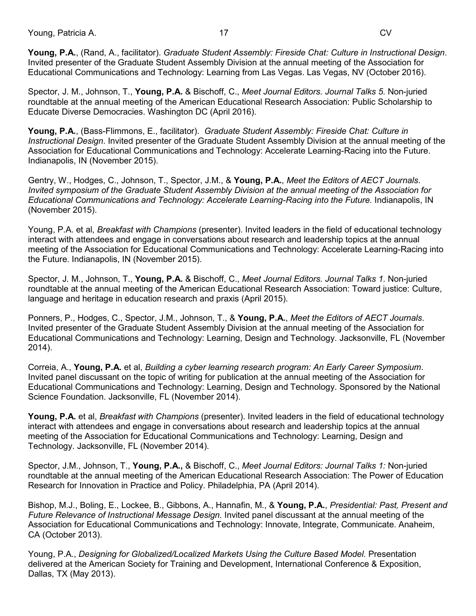Young, Patricia A. 17 CV

Educational Communications and Technology: Learning from Las Vegas. Las Vegas, NV (October 2016).

Spector, J. M., Johnson, T., **Young, P.A.** & Bischoff, C., *Meet Journal Editors. Journal Talks 5*. Non-juried roundtable at the annual meeting of the American Educational Research Association: Public Scholarship to Educate Diverse Democracies. Washington DC (April 2016).

**Young, P.A.**, (Bass-Flimmons, E., facilitator). *Graduate Student Assembly: Fireside Chat: Culture in Instructional Design*. Invited presenter of the Graduate Student Assembly Division at the annual meeting of the Association for Educational Communications and Technology: Accelerate Learning-Racing into the Future. Indianapolis, IN (November 2015).

Gentry, W., Hodges, C., Johnson, T., Spector, J.M., & **Young, P.A.**, *Meet the Editors of AECT Journals*. *Invited symposium of the Graduate Student Assembly Division at the annual meeting of the Association for Educational Communications and Technology: Accelerate Learning-Racing into the Future.* Indianapolis, IN (November 2015).

Young, P.A. et al, *Breakfast with Champions* (presenter). Invited leaders in the field of educational technology interact with attendees and engage in conversations about research and leadership topics at the annual meeting of the Association for Educational Communications and Technology: Accelerate Learning-Racing into the Future. Indianapolis, IN (November 2015).

Spector, J. M., Johnson, T., **Young, P.A.** & Bischoff, C., *Meet Journal Editors. Journal Talks 1*. Non-juried roundtable at the annual meeting of the American Educational Research Association: Toward justice: Culture, language and heritage in education research and praxis (April 2015).

Ponners, P., Hodges, C., Spector, J.M., Johnson, T., & **Young, P.A.**, *Meet the Editors of AECT Journals*. Invited presenter of the Graduate Student Assembly Division at the annual meeting of the Association for Educational Communications and Technology: Learning, Design and Technology. Jacksonville, FL (November 2014).

Correia, A., **Young, P.A.** et al, *Building a cyber learning research program: An Early Career Symposium*. Invited panel discussant on the topic of writing for publication at the annual meeting of the Association for Educational Communications and Technology: Learning, Design and Technology. Sponsored by the National Science Foundation. Jacksonville, FL (November 2014).

**Young, P.A.** et al, *Breakfast with Champions* (presenter). Invited leaders in the field of educational technology interact with attendees and engage in conversations about research and leadership topics at the annual meeting of the Association for Educational Communications and Technology: Learning, Design and Technology. Jacksonville, FL (November 2014).

Spector, J.M., Johnson, T., **Young, P.A.,** & Bischoff, C., *Meet Journal Editors: Journal Talks 1:* Non-juried roundtable at the annual meeting of the American Educational Research Association: The Power of Education Research for Innovation in Practice and Policy. Philadelphia, PA (April 2014).

Bishop, M.J., Boling, E., Lockee, B., Gibbons, A., Hannafin, M., & **Young, P.A.**, *Presidential: Past, Present and Future Relevance of Instructional Message Design.* Invited panel discussant at the annual meeting of the Association for Educational Communications and Technology: Innovate, Integrate, Communicate. Anaheim, CA (October 2013).

Young, P.A., *Designing for Globalized/Localized Markets Using the Culture Based Model.* Presentation delivered at the American Society for Training and Development, International Conference & Exposition, Dallas, TX (May 2013).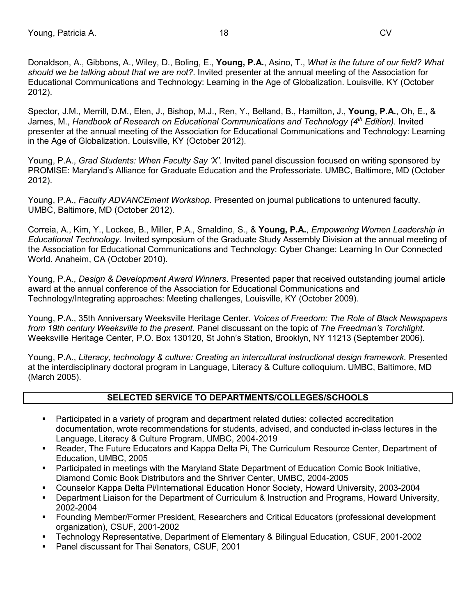Donaldson, A., Gibbons, A., Wiley, D., Boling, E., **Young, P.A.**, Asino, T., *What is the future of our field? What should we be talking about that we are not?*. Invited presenter at the annual meeting of the Association for Educational Communications and Technology: Learning in the Age of Globalization. Louisville, KY (October 2012).

Spector, J.M., Merrill, D.M., Elen, J., Bishop, M.J., Ren, Y., Belland, B., Hamilton, J., **Young, P.A.**, Oh, E., & James, M., *Handbook of Research on Educational Communications and Technology (4th Edition).* Invited presenter at the annual meeting of the Association for Educational Communications and Technology: Learning in the Age of Globalization. Louisville, KY (October 2012).

Young, P.A., *Grad Students: When Faculty Say 'X'.* Invited panel discussion focused on writing sponsored by PROMISE: Maryland's Alliance for Graduate Education and the Professoriate. UMBC, Baltimore, MD (October 2012).

Young, P.A., *Faculty ADVANCEment Workshop.* Presented on journal publications to untenured faculty. UMBC, Baltimore, MD (October 2012).

Correia, A., Kim, Y., Lockee, B., Miller, P.A., Smaldino, S., & **Young, P.A.**, *Empowering Women Leadership in Educational Technology.* Invited symposium of the Graduate Study Assembly Division at the annual meeting of the Association for Educational Communications and Technology: Cyber Change: Learning In Our Connected World. Anaheim, CA (October 2010).

Young, P.A., *Design & Development Award Winners*. Presented paper that received outstanding journal article award at the annual conference of the Association for Educational Communications and Technology/Integrating approaches: Meeting challenges, Louisville, KY (October 2009).

Young, P.A., 35th Anniversary Weeksville Heritage Center. *Voices of Freedom: The Role of Black Newspapers from 19th century Weeksville to the present.* Panel discussant on the topic of *The Freedman's Torchlight*. Weeksville Heritage Center, P.O. Box 130120, St John's Station, Brooklyn, NY 11213 (September 2006).

Young, P.A., *Literacy, technology & culture: Creating an intercultural instructional design framework.* Presented at the interdisciplinary doctoral program in Language, Literacy & Culture colloquium. UMBC, Baltimore, MD (March 2005).

# **SELECTED SERVICE TO DEPARTMENTS/COLLEGES/SCHOOLS**

- Participated in a variety of program and department related duties: collected accreditation documentation, wrote recommendations for students, advised, and conducted in-class lectures in the Language, Literacy & Culture Program, UMBC, 2004-2019
- Reader, The Future Educators and Kappa Delta Pi, The Curriculum Resource Center, Department of Education, UMBC, 2005
- Participated in meetings with the Maryland State Department of Education Comic Book Initiative, Diamond Comic Book Distributors and the Shriver Center, UMBC, 2004-2005
- Counselor Kappa Delta Pi/International Education Honor Society, Howard University, 2003-2004
- Department Liaison for the Department of Curriculum & Instruction and Programs, Howard University, 2002-2004
- Founding Member/Former President, Researchers and Critical Educators (professional development organization), CSUF, 2001-2002
- Technology Representative, Department of Elementary & Bilingual Education, CSUF, 2001-2002
- Panel discussant for Thai Senators, CSUF, 2001